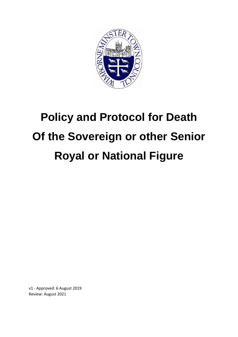

# **Policy and Protocol for Death Of the Sovereign or other Senior Royal or National Figure**

v1 - Approved: 6 August 2019 Review: August 2021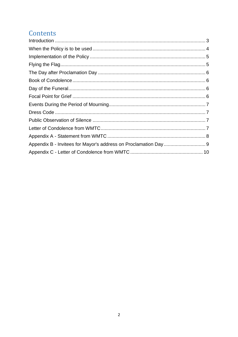# Contents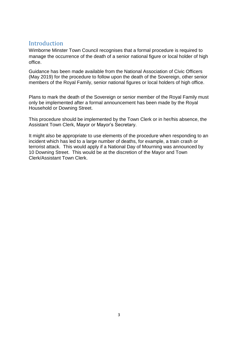## Introduction

Wimborne Minster Town Council recognises that a formal procedure is required to manage the occurrence of the death of a senior national figure or local holder of high office.

Guidance has been made available from the National Association of Civic Officers (May 2019) for the procedure to follow upon the death of the Sovereign, other senior members of the Royal Family, senior national figures or local holders of high office.

Plans to mark the death of the Sovereign or senior member of the Royal Family must only be implemented after a formal announcement has been made by the Royal Household or Downing Street.

This procedure should be implemented by the Town Clerk or in her/his absence, the Assistant Town Clerk, Mayor or Mayor's Secretary.

It might also be appropriate to use elements of the procedure when responding to an incident which has led to a large number of deaths, for example, a train crash or terrorist attack. This would apply if a National Day of Mourning was announced by 10 Downing Street. This would be at the discretion of the Mayor and Town Clerk/Assistant Town Clerk.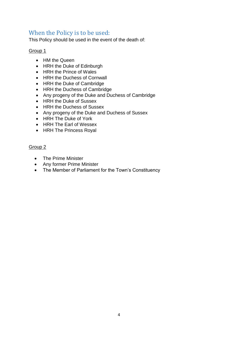## When the Policy is to be used:

This Policy should be used in the event of the death of:

#### Group 1

- HM the Queen
- HRH the Duke of Edinburgh
- HRH the Prince of Wales
- HRH the Duchess of Cornwall
- HRH the Duke of Cambridge
- HRH the Duchess of Cambridge
- Any progeny of the Duke and Duchess of Cambridge
- HRH the Duke of Sussex
- HRH the Duchess of Sussex
- Any progeny of the Duke and Duchess of Sussex
- HRH The Duke of York
- HRH The Earl of Wessex
- HRH The Princess Royal

#### Group 2

- The Prime Minister
- Any former Prime Minister
- The Member of Parliament for the Town's Constituency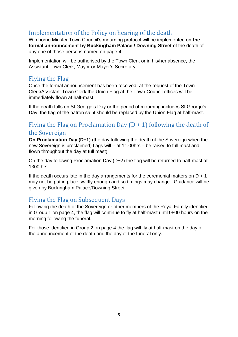# Implementation of the Policy on hearing of the death

Wimborne Minster Town Council's mourning protocol will be implemented on **the formal announcement by Buckingham Palace / Downing Street** of the death of any one of those persons named on page 4.

Implementation will be authorised by the Town Clerk or in his/her absence, the Assistant Town Clerk, Mayor or Mayor's Secretary.

## Flying the Flag

Once the formal announcement has been received, at the request of the Town Clerk/Assistant Town Clerk the Union Flag at the Town Council offices will be immediately flown at half-mast.

If the death falls on St George's Day or the period of mourning includes St George's Day, the flag of the patron saint should be replaced by the Union Flag at half-mast.

# Flying the Flag on Proclamation Day  $(D + 1)$  following the death of the Sovereign

**On Proclamation Day (D+1)** (the day following the death of the Sovereign when the new Sovereign is proclaimed) flags will – at 11.00hrs – be raised to full mast and flown throughout the day at full mast).

On the day following Proclamation Day (D+2) the flag will be returned to half-mast at 1300 hrs.

If the death occurs late in the day arrangements for the ceremonial matters on  $D + 1$ may not be put in place swiftly enough and so timings may change. Guidance will be given by Buckingham Palace/Downing Street.

## Flying the Flag on Subsequent Days

Following the death of the Sovereign or other members of the Royal Family identified in Group 1 on page 4, the flag will continue to fly at half-mast until 0800 hours on the morning following the funeral.

For those identified in Group 2 on page 4 the flag will fly at half-mast on the day of the announcement of the death and the day of the funeral only.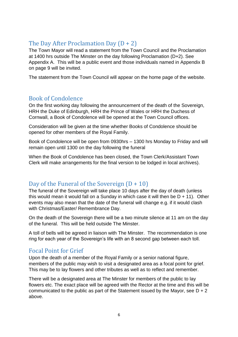# The Day After Proclamation Day  $(D + 2)$

The Town Mayor will read a statement from the Town Council and the Proclamation at 1400 hrs outside The Minster on the day following Proclamation (D+2). See Appendix A. This will be a public event and those individuals named in Appendix B on page 9 will be invited.

The statement from the Town Council will appear on the home page of the website.

## Book of Condolence

On the first working day following the announcement of the death of the Sovereign, HRH the Duke of Edinburgh, HRH the Prince of Wales or HRH the Duchess of Cornwall, a Book of Condolence will be opened at the Town Council offices.

Consideration will be given at the time whether Books of Condolence should be opened for other members of the Royal Family.

Book of Condolence will be open from 0930hrs – 1300 hrs Monday to Friday and will remain open until 1300 on the day following the funeral

When the Book of Condolence has been closed, the Town Clerk/Assistant Town Clerk will make arrangements for the final version to be lodged in local archives).

## Day of the Funeral of the Sovereign  $(D + 10)$

The funeral of the Sovereign will take place 10 days after the day of death (unless this would mean it would fall on a Sunday in which case it will then be  $D + 11$ ). Other events may also mean that the date of the funeral will change e.g. if it would clash with Christmas/Easter/ Remembrance Day.

On the death of the Sovereign there will be a two minute silence at 11 am on the day of the funeral. This will be held outside The Minster.

A toll of bells will be agreed in liaison with The Minster. The recommendation is one ring for each year of the Sovereign's life with an 8 second gap between each toll.

## Focal Point for Grief

Upon the death of a member of the Royal Family or a senior national figure, members of the public may wish to visit a designated area as a focal point for grief. This may be to lay flowers and other tributes as well as to reflect and remember.

There will be a designated area at The Minster for members of the public to lay flowers etc. The exact place will be agreed with the Rector at the time and this will be communicated to the public as part of the Statement issued by the Mayor, see  $D + 2$ above.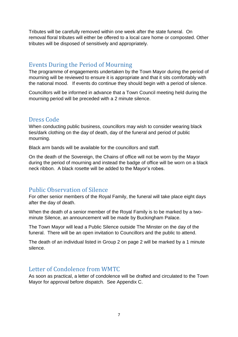Tributes will be carefully removed within one week after the state funeral. On removal floral tributes will either be offered to a local care home or composted. Other tributes will be disposed of sensitively and appropriately.

#### Events During the Period of Mourning

The programme of engagements undertaken by the Town Mayor during the period of mourning will be reviewed to ensure it is appropriate and that it sits comfortably with the national mood. If events do continue they should begin with a period of silence.

Councillors will be informed in advance that a Town Council meeting held during the mourning period will be preceded with a 2 minute silence.

#### Dress Code

When conducting public business, councillors may wish to consider wearing black ties/dark clothing on the day of death, day of the funeral and period of public mourning.

Black arm bands will be available for the councillors and staff.

On the death of the Sovereign, the Chains of office will not be worn by the Mayor during the period of mourning and instead the badge of office will be worn on a black neck ribbon. A black rosette will be added to the Mayor's robes.

## Public Observation of Silence

For other senior members of the Royal Family, the funeral will take place eight days after the day of death.

When the death of a senior member of the Royal Family is to be marked by a twominute Silence, an announcement will be made by Buckingham Palace.

The Town Mayor will lead a Public Silence outside The Minster on the day of the funeral. There will be an open invitation to Councillors and the public to attend.

The death of an individual listed in Group 2 on page 2 will be marked by a 1 minute silence.

#### Letter of Condolence from WMTC

As soon as practical, a letter of condolence will be drafted and circulated to the Town Mayor for approval before dispatch. See Appendix C.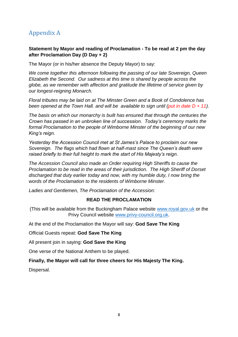# Appendix A

#### **Statement by Mayor and reading of Proclamation - To be read at 2 pm the day after Proclamation Day (D Day + 2)**

The Mayor (or in his/her absence the Deputy Mayor) to say:

*We come together this afternoon following the passing of our late Sovereign, Queen Elizabeth the Second. Our sadness at this time is shared by people across the globe, as we remember with affection and gratitude the lifetime of service given by our longest-reigning Monarch.*

*Floral tributes may be laid on at The Minster Green and a Book of Condolence has been opened at the Town Hall. and will be available to sign until (put in date D + 11).*

*The basis on which our monarchy is built has ensured that through the centuries the Crown has passed in an unbroken line of succession. Today's ceremony marks the formal Proclamation to the people of Wimborne Minster of the beginning of our new King's reign.*

*Yesterday the Accession Council met at St James's Palace to proclaim our new Sovereign. The flags which had flown at half-mast since The Queen's death were raised briefly to their full height to mark the start of His Majesty's reign.*

*The Accession Council also made an Order requiring High Sheriffs to cause the Proclamation to be read in the areas of their jurisdiction. The High Sheriff of Dorset discharged that duty earlier today and now, with my humble duty, I now bring the words of the Proclamation to the residents of Wimborne Minster.*

*Ladies and Gentlemen, The Proclamation of the Accession:*

#### **READ THE PROCLAMATION**

(This will be available from the Buckingham Palace website [www.royal.gov.uk](http://www.royal.gov.uk/) or the Privy Council website [www.privy-council.org.uk.](http://www.privy-council.org.uk/)

At the end of the Proclamation the Mayor will say: **God Save The King**

Official Guests repeat: **God Save The King**

All present join in saying: **God Save the King**

One verse of the National Anthem to be played.

#### **Finally, the Mayor will call for three cheers for His Majesty The King.**

Dispersal.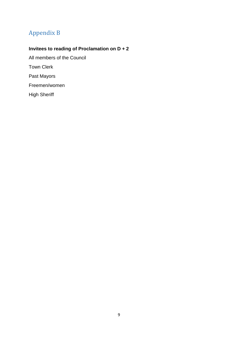# Appendix B

# **Invitees to reading of Proclamation on D + 2**

All members of the Council Town Clerk Past Mayors Freemen/women High Sheriff